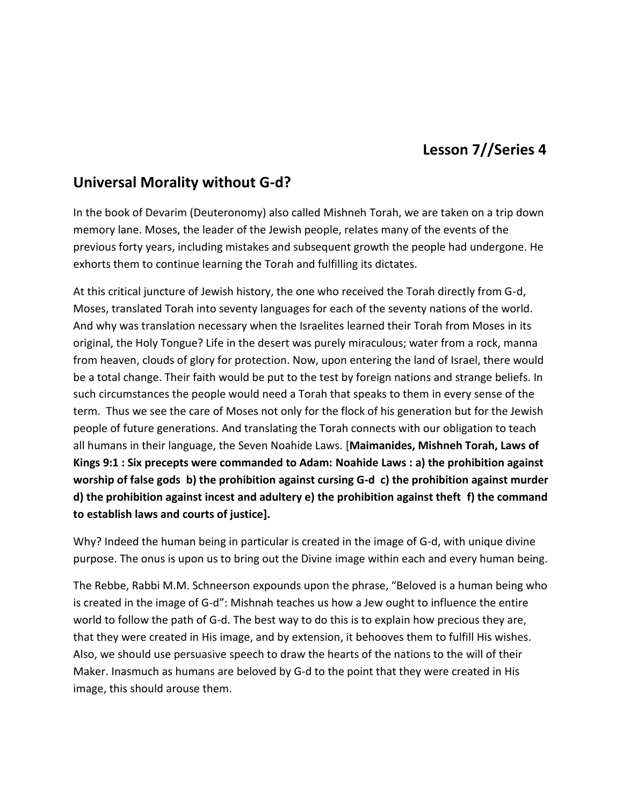## **Lesson 7//Series 4**

## **Universal Morality without G-d?**

In the book of Devarim (Deuteronomy) also called Mishneh Torah, we are taken on a trip down memory lane. Moses, the leader of the Jewish people, relates many of the events of the previous forty years, including mistakes and subsequent growth the people had undergone. He exhorts them to continue learning the Torah and fulfilling its dictates.

At this critical juncture of Jewish history, the one who received the Torah directly from G-d, Moses, translated Torah into seventy languages for each of the seventy nations of the world. And why was translation necessary when the Israelites learned their Torah from Moses in its original, the Holy Tongue? Life in the desert was purely miraculous; water from a rock, manna from heaven, clouds of glory for protection. Now, upon entering the land of Israel, there would be a total change. Their faith would be put to the test by foreign nations and strange beliefs. In such circumstances the people would need a Torah that speaks to them in every sense of the term. Thus we see the care of Moses not only for the flock of his generation but for the Jewish people of future generations. And translating the Torah connects with our obligation to teach all humans in their language, the Seven Noahide Laws. [**Maimanides, Mishneh Torah, Laws of Kings 9:1 : Six precepts were commanded to Adam: Noahide Laws : a) the prohibition against worship of false gods b) the prohibition against cursing G-d c) the prohibition against murder d) the prohibition against incest and adultery e) the prohibition against theft f) the command to establish laws and courts of justice].**

Why? Indeed the human being in particular is created in the image of G-d, with unique divine purpose. The onus is upon us to bring out the Divine image within each and every human being.

The Rebbe, Rabbi M.M. Schneerson expounds upon the phrase, "Beloved is a human being who is created in the image of G-d": Mishnah teaches us how a Jew ought to influence the entire world to follow the path of G-d. The best way to do this is to explain how precious they are, that they were created in His image, and by extension, it behooves them to fulfill His wishes. Also, we should use persuasive speech to draw the hearts of the nations to the will of their Maker. Inasmuch as humans are beloved by G-d to the point that they were created in His image, this should arouse them.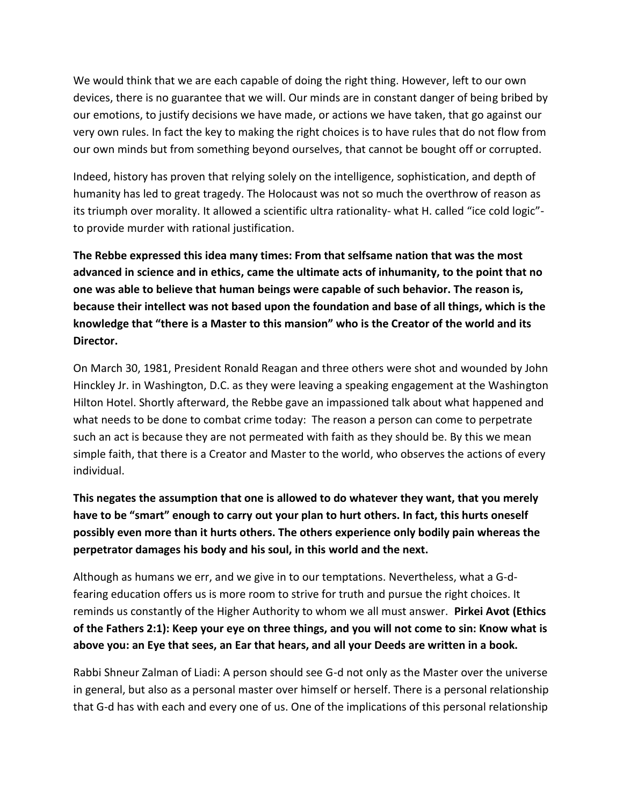We would think that we are each capable of doing the right thing. However, left to our own devices, there is no guarantee that we will. Our minds are in constant danger of being bribed by our emotions, to justify decisions we have made, or actions we have taken, that go against our very own rules. In fact the key to making the right choices is to have rules that do not flow from our own minds but from something beyond ourselves, that cannot be bought off or corrupted.

Indeed, history has proven that relying solely on the intelligence, sophistication, and depth of humanity has led to great tragedy. The Holocaust was not so much the overthrow of reason as its triumph over morality. It allowed a scientific ultra rationality- what H. called "ice cold logic" to provide murder with rational justification.

**The Rebbe expressed this idea many times: From that selfsame nation that was the most advanced in science and in ethics, came the ultimate acts of inhumanity, to the point that no one was able to believe that human beings were capable of such behavior. The reason is, because their intellect was not based upon the foundation and base of all things, which is the knowledge that "there is a Master to this mansion" who is the Creator of the world and its Director.**

On March 30, 1981, President Ronald Reagan and three others were shot and wounded by John Hinckley Jr. in Washington, D.C. as they were leaving a speaking engagement at the Washington Hilton Hotel. Shortly afterward, the Rebbe gave an impassioned talk about what happened and what needs to be done to combat crime today: The reason a person can come to perpetrate such an act is because they are not permeated with faith as they should be. By this we mean simple faith, that there is a Creator and Master to the world, who observes the actions of every individual.

**This negates the assumption that one is allowed to do whatever they want, that you merely have to be "smart" enough to carry out your plan to hurt others. In fact, this hurts oneself possibly even more than it hurts others. The others experience only bodily pain whereas the perpetrator damages his body and his soul, in this world and the next.**

Although as humans we err, and we give in to our temptations. Nevertheless, what a G-dfearing education offers us is more room to strive for truth and pursue the right choices. It reminds us constantly of the Higher Authority to whom we all must answer. **Pirkei Avot (Ethics of the Fathers 2:1): Keep your eye on three things, and you will not come to sin: Know what is above you: an Eye that sees, an Ear that hears, and all your Deeds are written in a book.**

Rabbi Shneur Zalman of Liadi: A person should see G-d not only as the Master over the universe in general, but also as a personal master over himself or herself. There is a personal relationship that G-d has with each and every one of us. One of the implications of this personal relationship